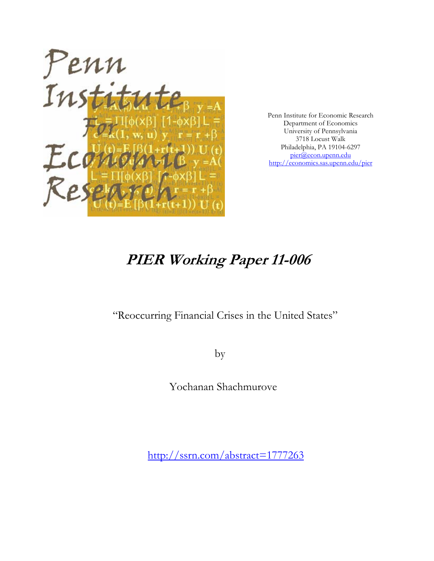

Penn Institute for Economic Research Department of Economics University of Pennsylvania 3718 Locust Walk Philadelphia, PA 19104-6297 pier@econ.upenn.edu http://economics.sas.upenn.edu/pier

# **PIER Working Paper 11-006**

# "Reoccurring Financial Crises in the United States"

by

Yochanan Shachmurove

http://ssrn.com/abstract=1777263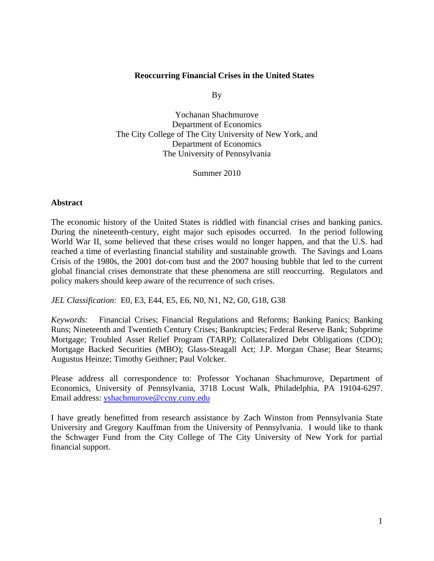# **Reoccurring Financial Crises in the United States**

By

Yochanan Shachmurove Department of Economics The City College of The City University of New York, and Department of Economics The University of Pennsylvania

Summer 2010

# **Abstract**

The economic history of the United States is riddled with financial crises and banking panics. During the nineteenth-century, eight major such episodes occurred. In the period following World War II, some believed that these crises would no longer happen, and that the U.S. had reached a time of everlasting financial stability and sustainable growth. The Savings and Loans Crisis of the 1980s, the 2001 dot-com bust and the 2007 housing bubble that led to the current global financial crises demonstrate that these phenomena are still reoccurring. Regulators and policy makers should keep aware of the recurrence of such crises.

*JEL Classification*: E0, E3, E44, E5, E6, N0, N1, N2, G0, G18, G38

*Keywords:* Financial Crises; Financial Regulations and Reforms; Banking Panics; Banking Runs; Nineteenth and Twentieth Century Crises; Bankruptcies; Federal Reserve Bank; Subprime Mortgage; Troubled Asset Relief Program (TARP); Collateralized Debt Obligations (CDO); Mortgage Backed Securities (MBO); Glass-Steagall Act; J.P. Morgan Chase; Bear Stearns; Augustus Heinze; Timothy Geithner; Paul Volcker.

Please address all correspondence to: Professor Yochanan Shachmurove, Department of Economics, University of Pennsylvania, 3718 Locust Walk, Philadelphia, PA 19104-6297. Email address: yshachmurove@ccny.cuny.edu

I have greatly benefitted from research assistance by Zach Winston from Pennsylvania State University and Gregory Kauffman from the University of Pennsylvania. I would like to thank the Schwager Fund from the City College of The City University of New York for partial financial support.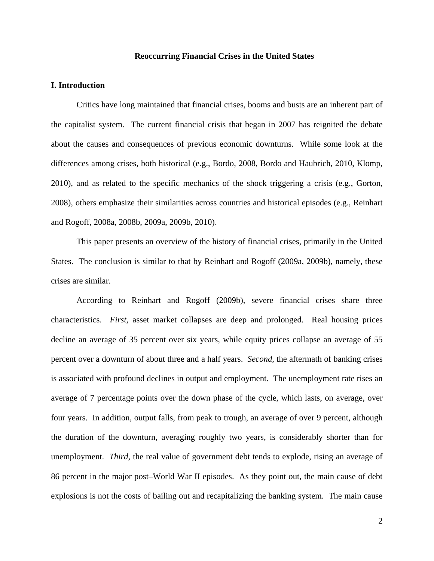# **Reoccurring Financial Crises in the United States**

# **I. Introduction**

Critics have long maintained that financial crises, booms and busts are an inherent part of the capitalist system. The current financial crisis that began in 2007 has reignited the debate about the causes and consequences of previous economic downturns. While some look at the differences among crises, both historical (e.g., Bordo, 2008, Bordo and Haubrich, 2010, Klomp, 2010), and as related to the specific mechanics of the shock triggering a crisis (e.g., Gorton, 2008), others emphasize their similarities across countries and historical episodes (e.g., Reinhart and Rogoff, 2008a, 2008b, 2009a, 2009b, 2010).

This paper presents an overview of the history of financial crises, primarily in the United States. The conclusion is similar to that by Reinhart and Rogoff (2009a, 2009b), namely, these crises are similar.

According to Reinhart and Rogoff (2009b), severe financial crises share three characteristics. *First,* asset market collapses are deep and prolonged. Real housing prices decline an average of 35 percent over six years, while equity prices collapse an average of 55 percent over a downturn of about three and a half years. *Second,* the aftermath of banking crises is associated with profound declines in output and employment. The unemployment rate rises an average of 7 percentage points over the down phase of the cycle, which lasts, on average, over four years. In addition, output falls, from peak to trough, an average of over 9 percent, although the duration of the downturn, averaging roughly two years, is considerably shorter than for unemployment. *Third,* the real value of government debt tends to explode, rising an average of 86 percent in the major post–World War II episodes. As they point out, the main cause of debt explosions is not the costs of bailing out and recapitalizing the banking system. The main cause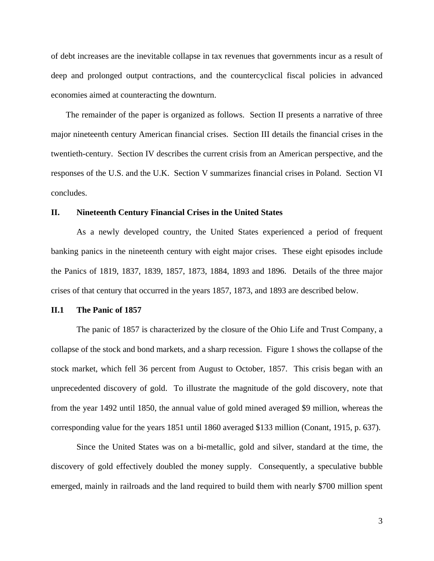of debt increases are the inevitable collapse in tax revenues that governments incur as a result of deep and prolonged output contractions, and the countercyclical fiscal policies in advanced economies aimed at counteracting the downturn.

The remainder of the paper is organized as follows. Section II presents a narrative of three major nineteenth century American financial crises. Section III details the financial crises in the twentieth-century. Section IV describes the current crisis from an American perspective, and the responses of the U.S. and the U.K. Section V summarizes financial crises in Poland. Section VI concludes.

#### **II. Nineteenth Century Financial Crises in the United States**

As a newly developed country, the United States experienced a period of frequent banking panics in the nineteenth century with eight major crises. These eight episodes include the Panics of 1819, 1837, 1839, 1857, 1873, 1884, 1893 and 1896. Details of the three major crises of that century that occurred in the years 1857, 1873, and 1893 are described below.

#### **II.1 The Panic of 1857**

The panic of 1857 is characterized by the closure of the Ohio Life and Trust Company, a collapse of the stock and bond markets, and a sharp recession. Figure 1 shows the collapse of the stock market, which fell 36 percent from August to October, 1857. This crisis began with an unprecedented discovery of gold. To illustrate the magnitude of the gold discovery, note that from the year 1492 until 1850, the annual value of gold mined averaged \$9 million, whereas the corresponding value for the years 1851 until 1860 averaged \$133 million (Conant, 1915, p. 637).

Since the United States was on a bi-metallic, gold and silver, standard at the time, the discovery of gold effectively doubled the money supply. Consequently, a speculative bubble emerged, mainly in railroads and the land required to build them with nearly \$700 million spent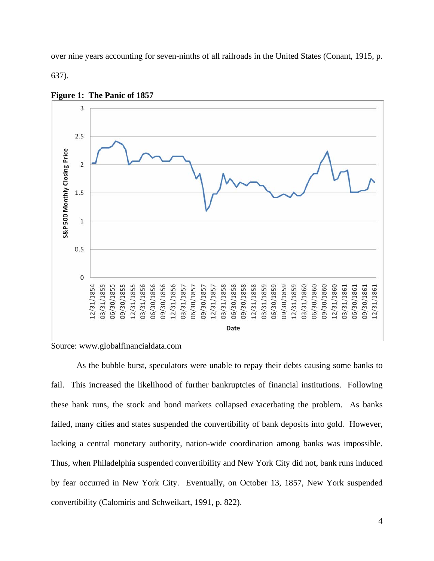over nine years accounting for seven-ninths of all railroads in the United States (Conant, 1915, p.

637).





Source: www.globalfinancialdata.com

As the bubble burst, speculators were unable to repay their debts causing some banks to fail. This increased the likelihood of further bankruptcies of financial institutions. Following these bank runs, the stock and bond markets collapsed exacerbating the problem. As banks failed, many cities and states suspended the convertibility of bank deposits into gold. However, lacking a central monetary authority, nation-wide coordination among banks was impossible. Thus, when Philadelphia suspended convertibility and New York City did not, bank runs induced by fear occurred in New York City. Eventually, on October 13, 1857, New York suspended convertibility (Calomiris and Schweikart, 1991, p. 822).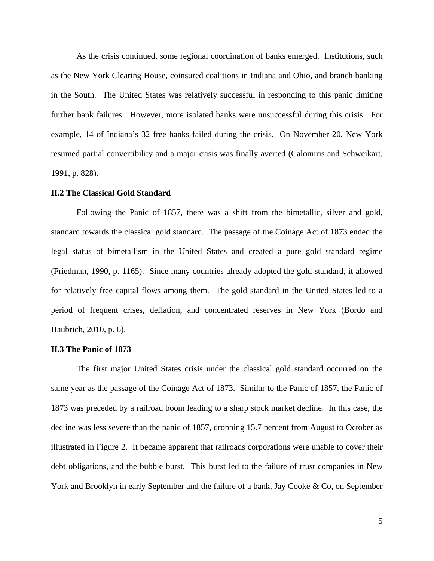As the crisis continued, some regional coordination of banks emerged. Institutions, such as the New York Clearing House, coinsured coalitions in Indiana and Ohio, and branch banking in the South. The United States was relatively successful in responding to this panic limiting further bank failures. However, more isolated banks were unsuccessful during this crisis. For example, 14 of Indiana's 32 free banks failed during the crisis. On November 20, New York resumed partial convertibility and a major crisis was finally averted (Calomiris and Schweikart, 1991, p. 828).

# **II.2 The Classical Gold Standard**

Following the Panic of 1857, there was a shift from the bimetallic, silver and gold, standard towards the classical gold standard. The passage of the Coinage Act of 1873 ended the legal status of bimetallism in the United States and created a pure gold standard regime (Friedman, 1990, p. 1165). Since many countries already adopted the gold standard, it allowed for relatively free capital flows among them. The gold standard in the United States led to a period of frequent crises, deflation, and concentrated reserves in New York (Bordo and Haubrich, 2010, p. 6).

# **II.3 The Panic of 1873**

The first major United States crisis under the classical gold standard occurred on the same year as the passage of the Coinage Act of 1873. Similar to the Panic of 1857, the Panic of 1873 was preceded by a railroad boom leading to a sharp stock market decline. In this case, the decline was less severe than the panic of 1857, dropping 15.7 percent from August to October as illustrated in Figure 2. It became apparent that railroads corporations were unable to cover their debt obligations, and the bubble burst. This burst led to the failure of trust companies in New York and Brooklyn in early September and the failure of a bank, Jay Cooke & Co, on September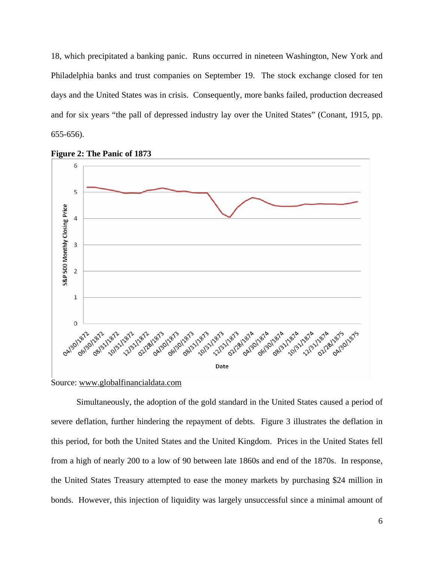18, which precipitated a banking panic. Runs occurred in nineteen Washington, New York and Philadelphia banks and trust companies on September 19. The stock exchange closed for ten days and the United States was in crisis. Consequently, more banks failed, production decreased and for six years "the pall of depressed industry lay over the United States" (Conant, 1915, pp. 655-656).



**Figure 2: The Panic of 1873** 

Source: www.globalfinancialdata.com

Simultaneously, the adoption of the gold standard in the United States caused a period of severe deflation, further hindering the repayment of debts. Figure 3 illustrates the deflation in this period, for both the United States and the United Kingdom. Prices in the United States fell from a high of nearly 200 to a low of 90 between late 1860s and end of the 1870s. In response, the United States Treasury attempted to ease the money markets by purchasing \$24 million in bonds. However, this injection of liquidity was largely unsuccessful since a minimal amount of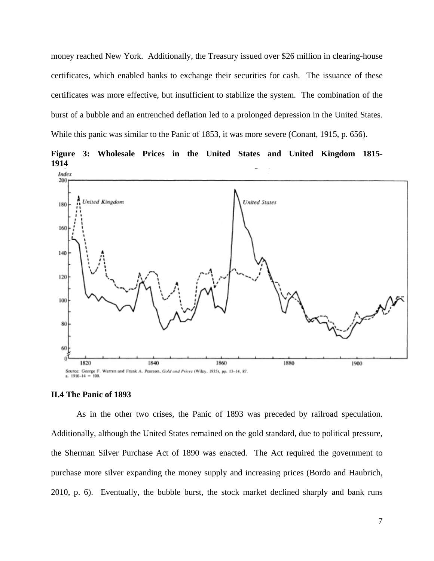money reached New York. Additionally, the Treasury issued over \$26 million in clearing-house certificates, which enabled banks to exchange their securities for cash. The issuance of these certificates was more effective, but insufficient to stabilize the system. The combination of the burst of a bubble and an entrenched deflation led to a prolonged depression in the United States. While this panic was similar to the Panic of 1853, it was more severe (Conant, 1915, p. 656).



**Figure 3: Wholesale Prices in the United States and United Kingdom 1815- 1914**

#### **II.4 The Panic of 1893**

As in the other two crises, the Panic of 1893 was preceded by railroad speculation. Additionally, although the United States remained on the gold standard, due to political pressure, the Sherman Silver Purchase Act of 1890 was enacted. The Act required the government to purchase more silver expanding the money supply and increasing prices (Bordo and Haubrich, 2010, p. 6). Eventually, the bubble burst, the stock market declined sharply and bank runs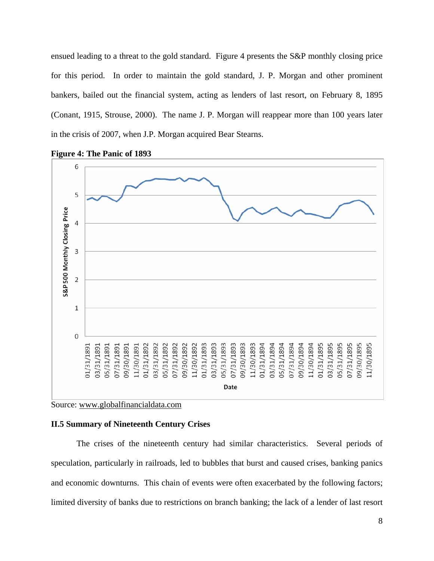ensued leading to a threat to the gold standard. Figure 4 presents the S&P monthly closing price for this period. In order to maintain the gold standard, J. P. Morgan and other prominent bankers, bailed out the financial system, acting as lenders of last resort, on February 8, 1895 (Conant, 1915, Strouse, 2000). The name J. P. Morgan will reappear more than 100 years later in the crisis of 2007, when J.P. Morgan acquired Bear Stearns.







# **II.5 Summary of Nineteenth Century Crises**

The crises of the nineteenth century had similar characteristics. Several periods of speculation, particularly in railroads, led to bubbles that burst and caused crises, banking panics and economic downturns. This chain of events were often exacerbated by the following factors; limited diversity of banks due to restrictions on branch banking; the lack of a lender of last resort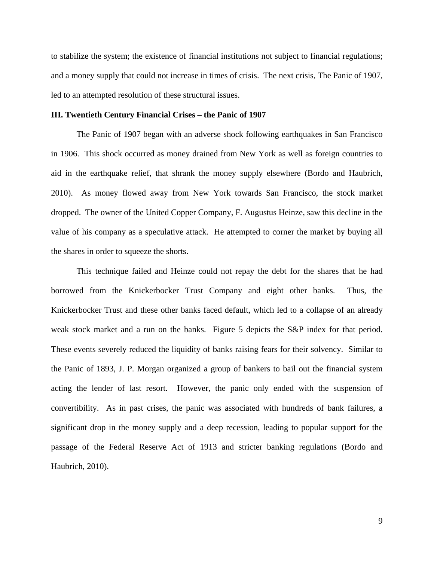to stabilize the system; the existence of financial institutions not subject to financial regulations; and a money supply that could not increase in times of crisis. The next crisis, The Panic of 1907, led to an attempted resolution of these structural issues.

## **III. Twentieth Century Financial Crises – the Panic of 1907**

The Panic of 1907 began with an adverse shock following earthquakes in San Francisco in 1906. This shock occurred as money drained from New York as well as foreign countries to aid in the earthquake relief, that shrank the money supply elsewhere (Bordo and Haubrich, 2010). As money flowed away from New York towards San Francisco, the stock market dropped. The owner of the United Copper Company, F. Augustus Heinze, saw this decline in the value of his company as a speculative attack. He attempted to corner the market by buying all the shares in order to squeeze the shorts.

This technique failed and Heinze could not repay the debt for the shares that he had borrowed from the Knickerbocker Trust Company and eight other banks. Thus, the Knickerbocker Trust and these other banks faced default, which led to a collapse of an already weak stock market and a run on the banks. Figure 5 depicts the S&P index for that period. These events severely reduced the liquidity of banks raising fears for their solvency. Similar to the Panic of 1893, J. P. Morgan organized a group of bankers to bail out the financial system acting the lender of last resort. However, the panic only ended with the suspension of convertibility. As in past crises, the panic was associated with hundreds of bank failures, a significant drop in the money supply and a deep recession, leading to popular support for the passage of the Federal Reserve Act of 1913 and stricter banking regulations (Bordo and Haubrich, 2010).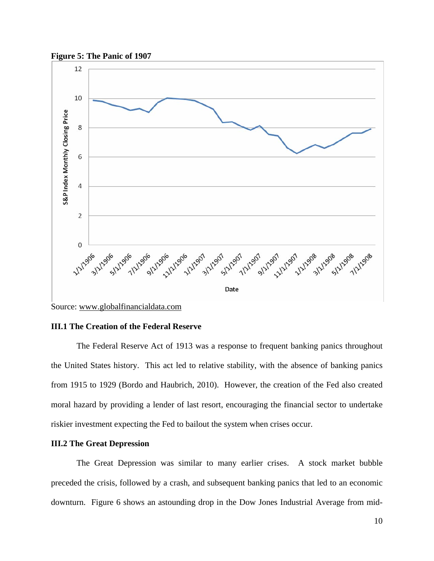



Source: www.globalfinancialdata.com

# **III.1 The Creation of the Federal Reserve**

The Federal Reserve Act of 1913 was a response to frequent banking panics throughout the United States history. This act led to relative stability, with the absence of banking panics from 1915 to 1929 (Bordo and Haubrich, 2010). However, the creation of the Fed also created moral hazard by providing a lender of last resort, encouraging the financial sector to undertake riskier investment expecting the Fed to bailout the system when crises occur.

# **III.2 The Great Depression**

The Great Depression was similar to many earlier crises. A stock market bubble preceded the crisis, followed by a crash, and subsequent banking panics that led to an economic downturn. Figure 6 shows an astounding drop in the Dow Jones Industrial Average from mid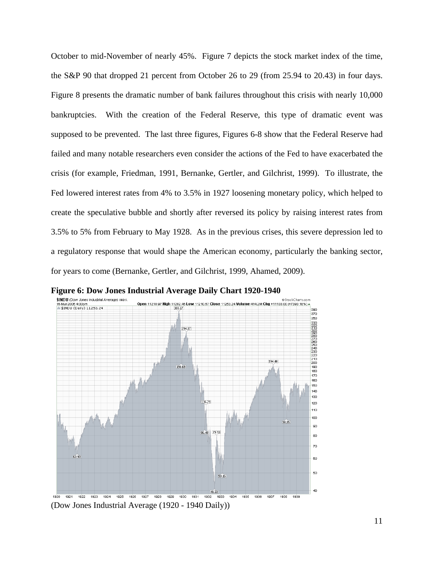October to mid-November of nearly 45%. Figure 7 depicts the stock market index of the time, the S&P 90 that dropped 21 percent from October 26 to 29 (from 25.94 to 20.43) in four days. Figure 8 presents the dramatic number of bank failures throughout this crisis with nearly 10,000 bankruptcies. With the creation of the Federal Reserve, this type of dramatic event was supposed to be prevented. The last three figures, Figures 6-8 show that the Federal Reserve had failed and many notable researchers even consider the actions of the Fed to have exacerbated the crisis (for example, Friedman, 1991, Bernanke, Gertler, and Gilchrist, 1999). To illustrate, the Fed lowered interest rates from 4% to 3.5% in 1927 loosening monetary policy, which helped to create the speculative bubble and shortly after reversed its policy by raising interest rates from 3.5% to 5% from February to May 1928. As in the previous crises, this severe depression led to a regulatory response that would shape the American economy, particularly the banking sector, for years to come (Bernanke, Gertler, and Gilchrist, 1999, Ahamed, 2009).



**Figure 6: Dow Jones Industrial Average Daily Chart 1920-1940**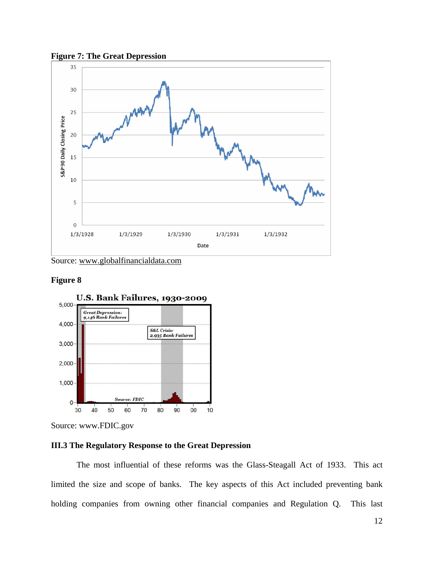



Source: www.globalfinancialdata.com

# **Figure 8**



Source: www.FDIC.gov

# **III.3 The Regulatory Response to the Great Depression**

The most influential of these reforms was the Glass-Steagall Act of 1933. This act limited the size and scope of banks. The key aspects of this Act included preventing bank holding companies from owning other financial companies and Regulation Q. This last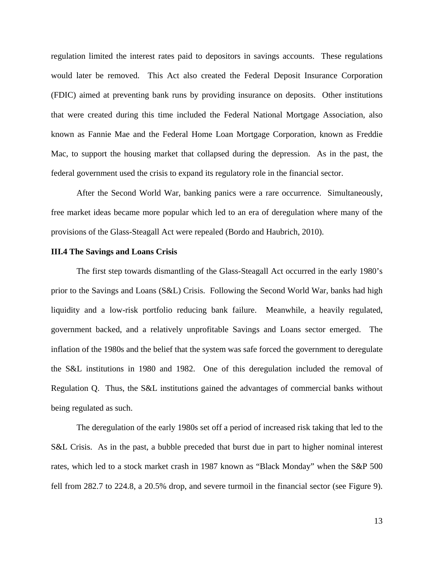regulation limited the interest rates paid to depositors in savings accounts. These regulations would later be removed. This Act also created the Federal Deposit Insurance Corporation (FDIC) aimed at preventing bank runs by providing insurance on deposits. Other institutions that were created during this time included the Federal National Mortgage Association, also known as Fannie Mae and the Federal Home Loan Mortgage Corporation, known as Freddie Mac, to support the housing market that collapsed during the depression. As in the past, the federal government used the crisis to expand its regulatory role in the financial sector.

After the Second World War, banking panics were a rare occurrence. Simultaneously, free market ideas became more popular which led to an era of deregulation where many of the provisions of the Glass-Steagall Act were repealed (Bordo and Haubrich, 2010).

## **III.4 The Savings and Loans Crisis**

The first step towards dismantling of the Glass-Steagall Act occurred in the early 1980's prior to the Savings and Loans (S&L) Crisis. Following the Second World War, banks had high liquidity and a low-risk portfolio reducing bank failure. Meanwhile, a heavily regulated, government backed, and a relatively unprofitable Savings and Loans sector emerged. The inflation of the 1980s and the belief that the system was safe forced the government to deregulate the S&L institutions in 1980 and 1982. One of this deregulation included the removal of Regulation Q. Thus, the S&L institutions gained the advantages of commercial banks without being regulated as such.

The deregulation of the early 1980s set off a period of increased risk taking that led to the S&L Crisis. As in the past, a bubble preceded that burst due in part to higher nominal interest rates, which led to a stock market crash in 1987 known as "Black Monday" when the S&P 500 fell from 282.7 to 224.8, a 20.5% drop, and severe turmoil in the financial sector (see Figure 9).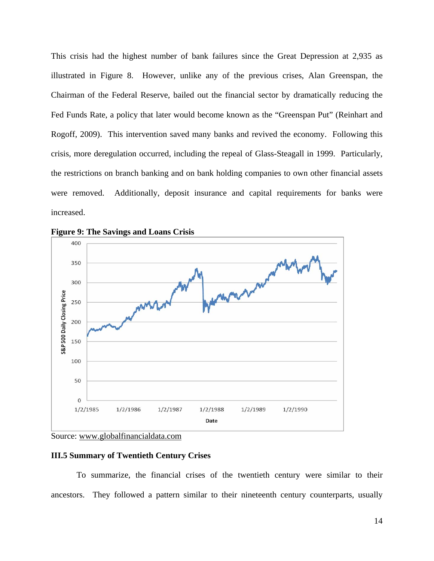This crisis had the highest number of bank failures since the Great Depression at 2,935 as illustrated in Figure 8. However, unlike any of the previous crises, Alan Greenspan, the Chairman of the Federal Reserve, bailed out the financial sector by dramatically reducing the Fed Funds Rate, a policy that later would become known as the "Greenspan Put" (Reinhart and Rogoff, 2009). This intervention saved many banks and revived the economy. Following this crisis, more deregulation occurred, including the repeal of Glass-Steagall in 1999. Particularly, the restrictions on branch banking and on bank holding companies to own other financial assets were removed. Additionally, deposit insurance and capital requirements for banks were increased.





Source: www.globalfinancialdata.com

# **III.5 Summary of Twentieth Century Crises**

To summarize, the financial crises of the twentieth century were similar to their ancestors. They followed a pattern similar to their nineteenth century counterparts, usually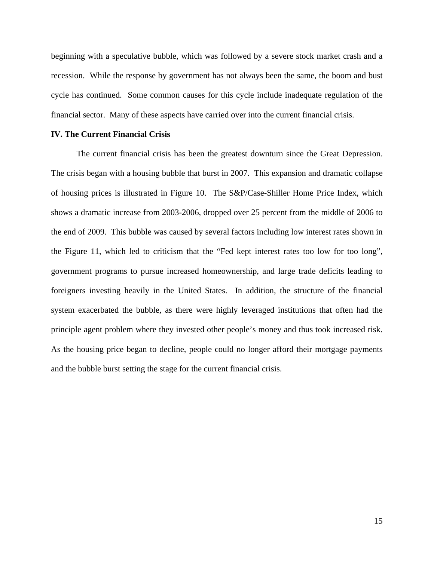beginning with a speculative bubble, which was followed by a severe stock market crash and a recession. While the response by government has not always been the same, the boom and bust cycle has continued. Some common causes for this cycle include inadequate regulation of the financial sector. Many of these aspects have carried over into the current financial crisis.

# **IV. The Current Financial Crisis**

The current financial crisis has been the greatest downturn since the Great Depression. The crisis began with a housing bubble that burst in 2007. This expansion and dramatic collapse of housing prices is illustrated in Figure 10. The S&P/Case-Shiller Home Price Index, which shows a dramatic increase from 2003-2006, dropped over 25 percent from the middle of 2006 to the end of 2009. This bubble was caused by several factors including low interest rates shown in the Figure 11, which led to criticism that the "Fed kept interest rates too low for too long", government programs to pursue increased homeownership, and large trade deficits leading to foreigners investing heavily in the United States. In addition, the structure of the financial system exacerbated the bubble, as there were highly leveraged institutions that often had the principle agent problem where they invested other people's money and thus took increased risk. As the housing price began to decline, people could no longer afford their mortgage payments and the bubble burst setting the stage for the current financial crisis.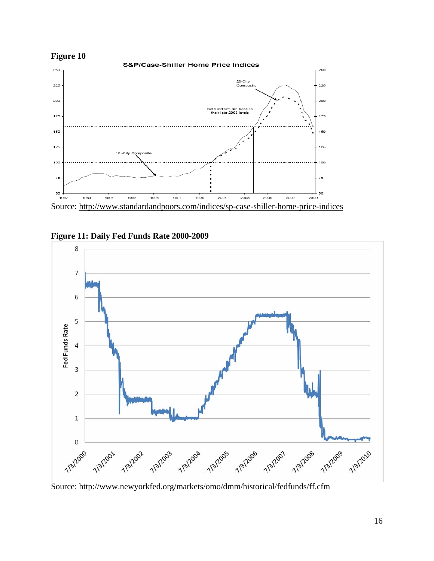



**Figure 11: Daily Fed Funds Rate 2000-2009** 



Source: http://www.newyorkfed.org/markets/omo/dmm/historical/fedfunds/ff.cfm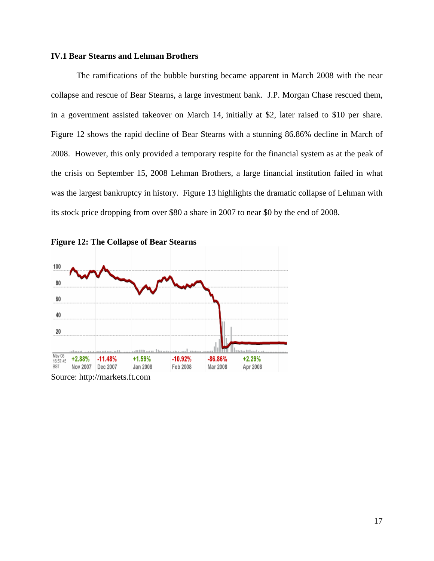# **IV.1 Bear Stearns and Lehman Brothers**

The ramifications of the bubble bursting became apparent in March 2008 with the near collapse and rescue of Bear Stearns, a large investment bank. J.P. Morgan Chase rescued them, in a government assisted takeover on March 14, initially at \$2, later raised to \$10 per share. Figure 12 shows the rapid decline of Bear Stearns with a stunning 86.86% decline in March of 2008. However, this only provided a temporary respite for the financial system as at the peak of the crisis on September 15, 2008 Lehman Brothers, a large financial institution failed in what was the largest bankruptcy in history. Figure 13 highlights the dramatic collapse of Lehman with its stock price dropping from over \$80 a share in 2007 to near \$0 by the end of 2008.



**Figure 12: The Collapse of Bear Stearns**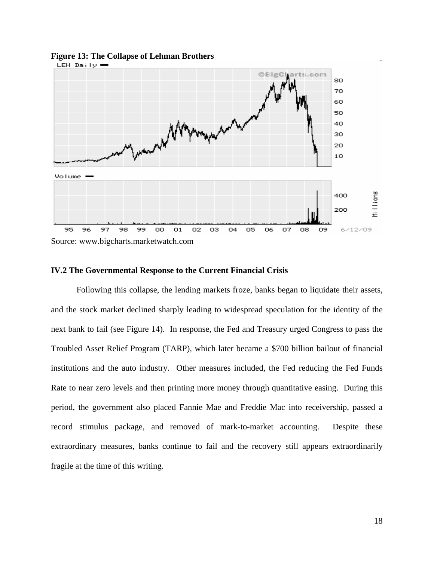

#### **Figure 13: The Collapse of Lehman Brothers**

#### **IV.2 The Governmental Response to the Current Financial Crisis**

Following this collapse, the lending markets froze, banks began to liquidate their assets, and the stock market declined sharply leading to widespread speculation for the identity of the next bank to fail (see Figure 14). In response, the Fed and Treasury urged Congress to pass the Troubled Asset Relief Program (TARP), which later became a \$700 billion bailout of financial institutions and the auto industry. Other measures included, the Fed reducing the Fed Funds Rate to near zero levels and then printing more money through quantitative easing. During this period, the government also placed Fannie Mae and Freddie Mac into receivership, passed a record stimulus package, and removed of mark-to-market accounting. Despite these extraordinary measures, banks continue to fail and the recovery still appears extraordinarily fragile at the time of this writing.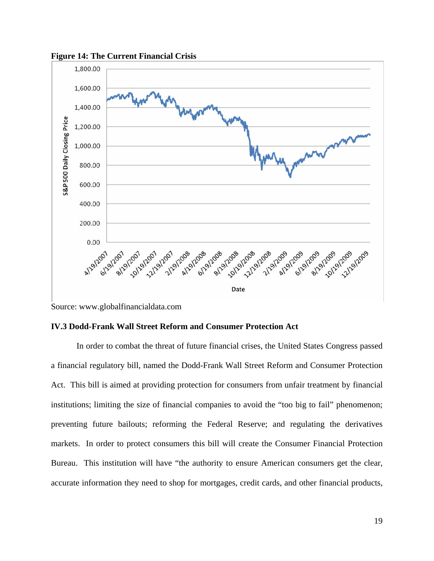

**Figure 14: The Current Financial Crisis** 

Source: www.globalfinancialdata.com

# **IV.3 Dodd-Frank Wall Street Reform and Consumer Protection Act**

In order to combat the threat of future financial crises, the United States Congress passed a financial regulatory bill, named the Dodd-Frank Wall Street Reform and Consumer Protection Act. This bill is aimed at providing protection for consumers from unfair treatment by financial institutions; limiting the size of financial companies to avoid the "too big to fail" phenomenon; preventing future bailouts; reforming the Federal Reserve; and regulating the derivatives markets. In order to protect consumers this bill will create the Consumer Financial Protection Bureau. This institution will have "the authority to ensure American consumers get the clear, accurate information they need to shop for mortgages, credit cards, and other financial products,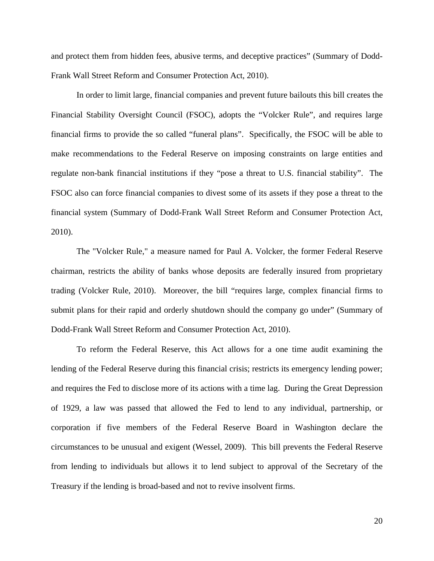and protect them from hidden fees, abusive terms, and deceptive practices" (Summary of Dodd-Frank Wall Street Reform and Consumer Protection Act, 2010).

In order to limit large, financial companies and prevent future bailouts this bill creates the Financial Stability Oversight Council (FSOC), adopts the "Volcker Rule", and requires large financial firms to provide the so called "funeral plans". Specifically, the FSOC will be able to make recommendations to the Federal Reserve on imposing constraints on large entities and regulate non-bank financial institutions if they "pose a threat to U.S. financial stability". The FSOC also can force financial companies to divest some of its assets if they pose a threat to the financial system (Summary of Dodd-Frank Wall Street Reform and Consumer Protection Act, 2010).

The "Volcker Rule," a measure named for Paul A. Volcker, the former Federal Reserve chairman, restricts the ability of banks whose deposits are federally insured from proprietary trading (Volcker Rule, 2010). Moreover, the bill "requires large, complex financial firms to submit plans for their rapid and orderly shutdown should the company go under" (Summary of Dodd-Frank Wall Street Reform and Consumer Protection Act, 2010).

To reform the Federal Reserve, this Act allows for a one time audit examining the lending of the Federal Reserve during this financial crisis; restricts its emergency lending power; and requires the Fed to disclose more of its actions with a time lag. During the Great Depression of 1929, a law was passed that allowed the Fed to lend to any individual, partnership, or corporation if five members of the Federal Reserve Board in Washington declare the circumstances to be unusual and exigent (Wessel, 2009). This bill prevents the Federal Reserve from lending to individuals but allows it to lend subject to approval of the Secretary of the Treasury if the lending is broad-based and not to revive insolvent firms.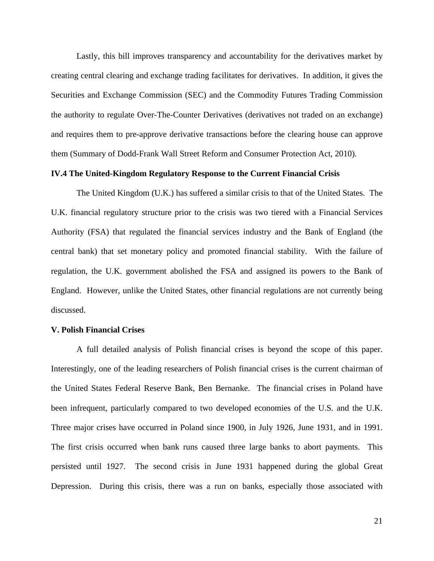Lastly, this bill improves transparency and accountability for the derivatives market by creating central clearing and exchange trading facilitates for derivatives. In addition, it gives the Securities and Exchange Commission (SEC) and the Commodity Futures Trading Commission the authority to regulate Over-The-Counter Derivatives (derivatives not traded on an exchange) and requires them to pre-approve derivative transactions before the clearing house can approve them (Summary of Dodd-Frank Wall Street Reform and Consumer Protection Act, 2010).

# **IV.4 The United-Kingdom Regulatory Response to the Current Financial Crisis**

The United Kingdom (U.K.) has suffered a similar crisis to that of the United States. The U.K. financial regulatory structure prior to the crisis was two tiered with a Financial Services Authority (FSA) that regulated the financial services industry and the Bank of England (the central bank) that set monetary policy and promoted financial stability. With the failure of regulation, the U.K. government abolished the FSA and assigned its powers to the Bank of England. However, unlike the United States, other financial regulations are not currently being discussed.

## **V. Polish Financial Crises**

A full detailed analysis of Polish financial crises is beyond the scope of this paper. Interestingly, one of the leading researchers of Polish financial crises is the current chairman of the United States Federal Reserve Bank, Ben Bernanke. The financial crises in Poland have been infrequent, particularly compared to two developed economies of the U.S. and the U.K. Three major crises have occurred in Poland since 1900, in July 1926, June 1931, and in 1991. The first crisis occurred when bank runs caused three large banks to abort payments. This persisted until 1927. The second crisis in June 1931 happened during the global Great Depression. During this crisis, there was a run on banks, especially those associated with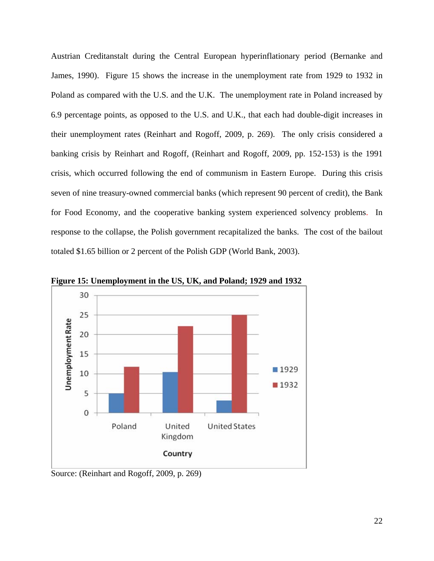Austrian Creditanstalt during the Central European hyperinflationary period (Bernanke and James, 1990). Figure 15 shows the increase in the unemployment rate from 1929 to 1932 in Poland as compared with the U.S. and the U.K. The unemployment rate in Poland increased by 6.9 percentage points, as opposed to the U.S. and U.K., that each had double-digit increases in their unemployment rates (Reinhart and Rogoff, 2009, p. 269). The only crisis considered a banking crisis by Reinhart and Rogoff, (Reinhart and Rogoff, 2009, pp. 152-153) is the 1991 crisis, which occurred following the end of communism in Eastern Europe. During this crisis seven of nine treasury-owned commercial banks (which represent 90 percent of credit), the Bank for Food Economy, and the cooperative banking system experienced solvency problems. In response to the collapse, the Polish government recapitalized the banks. The cost of the bailout totaled \$1.65 billion or 2 percent of the Polish GDP (World Bank, 2003).



**Figure 15: Unemployment in the US, UK, and Poland; 1929 and 1932** 

Source: (Reinhart and Rogoff, 2009, p. 269)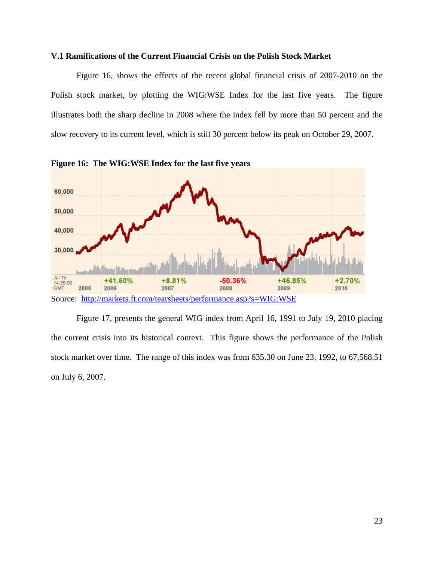### **V.1 Ramifications of the Current Financial Crisis on the Polish Stock Market**

Figure 16, shows the effects of the recent global financial crisis of 2007-2010 on the Polish stock market, by plotting the WIG:WSE Index for the last five years. The figure illustrates both the sharp decline in 2008 where the index fell by more than 50 percent and the slow recovery to its current level, which is still 30 percent below its peak on October 29, 2007.



**Figure 16: The WIG:WSE Index for the last five years** 

Figure 17, presents the general WIG index from April 16, 1991 to July 19, 2010 placing the current crisis into its historical context. This figure shows the performance of the Polish stock market over time. The range of this index was from 635.30 on June 23, 1992, to 67,568.51 on July 6, 2007.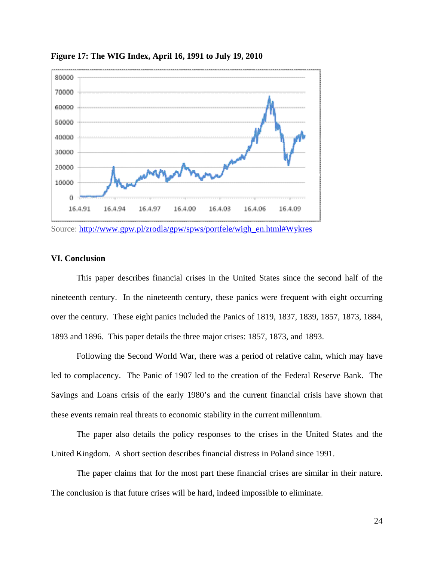

**Figure 17: The WIG Index, April 16, 1991 to July 19, 2010** 

Source: http://www.gpw.pl/zrodla/gpw/spws/portfele/wigh\_en.html#Wykres

# **VI. Conclusion**

This paper describes financial crises in the United States since the second half of the nineteenth century. In the nineteenth century, these panics were frequent with eight occurring over the century. These eight panics included the Panics of 1819, 1837, 1839, 1857, 1873, 1884, 1893 and 1896. This paper details the three major crises: 1857, 1873, and 1893.

Following the Second World War, there was a period of relative calm, which may have led to complacency. The Panic of 1907 led to the creation of the Federal Reserve Bank. The Savings and Loans crisis of the early 1980's and the current financial crisis have shown that these events remain real threats to economic stability in the current millennium.

The paper also details the policy responses to the crises in the United States and the United Kingdom. A short section describes financial distress in Poland since 1991.

The paper claims that for the most part these financial crises are similar in their nature. The conclusion is that future crises will be hard, indeed impossible to eliminate.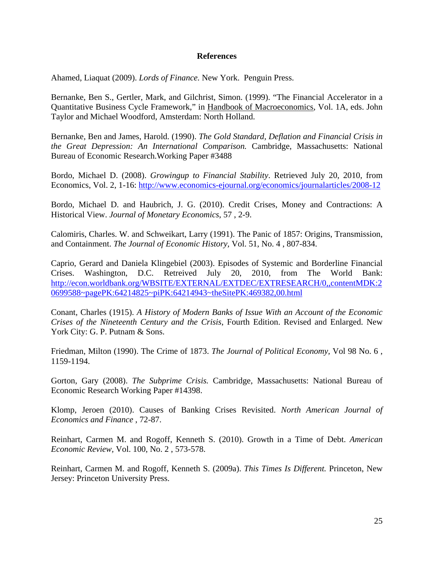# **References**

Ahamed, Liaquat (2009). *Lords of Finance.* New York. Penguin Press.

Bernanke, Ben S., Gertler, Mark, and Gilchrist, Simon. (1999). "The Financial Accelerator in a Quantitative Business Cycle Framework," in Handbook of Macroeconomics, Vol. 1A, eds. John Taylor and Michael Woodford, Amsterdam: North Holland.

Bernanke, Ben and James, Harold. (1990). *The Gold Standard, Deflation and Financial Crisis in the Great Depression: An International Comparison.* Cambridge, Massachusetts: National Bureau of Economic Research.Working Paper #3488

Bordo, Michael D. (2008). *Growingup to Financial Stability*. Retrieved July 20, 2010, from Economics, Vol. 2, 1-16: http://www.economics-ejournal.org/economics/journalarticles/2008-12

Bordo, Michael D. and Haubrich, J. G. (2010). Credit Crises, Money and Contractions: A Historical View. *Journal of Monetary Economics*, 57 , 2-9.

Calomiris, Charles. W. and Schweikart, Larry (1991). The Panic of 1857: Origins, Transmission, and Containment. *The Journal of Economic History,* Vol. 51, No. 4 , 807-834.

Caprio, Gerard and Daniela Klingebiel (2003). Episodes of Systemic and Borderline Financial Crises. Washington, D.C. Retreived July 20, 2010, from The World Bank: http://econ.worldbank.org/WBSITE/EXTERNAL/EXTDEC/EXTRESEARCH/0,,contentMDK:2 0699588~pagePK:64214825~piPK:64214943~theSitePK:469382,00.html

Conant, Charles (1915). *A History of Modern Banks of Issue With an Account of the Economic Crises of the Nineteenth Century and the Crisis*, Fourth Edition. Revised and Enlarged. New York City: G. P. Putnam & Sons.

Friedman, Milton (1990). The Crime of 1873. *The Journal of Political Economy,* Vol 98 No. 6 , 1159-1194.

Gorton, Gary (2008). *The Subprime Crisis.* Cambridge, Massachusetts: National Bureau of Economic Research Working Paper #14398.

Klomp, Jeroen (2010). Causes of Banking Crises Revisited. *North American Journal of Economics and Finance* , 72-87.

Reinhart, Carmen M. and Rogoff, Kenneth S. (2010). Growth in a Time of Debt. *American Economic Review,* Vol. 100, No. 2 , 573-578.

Reinhart, Carmen M. and Rogoff, Kenneth S. (2009a). *This Times Is Different.* Princeton, New Jersey: Princeton University Press.